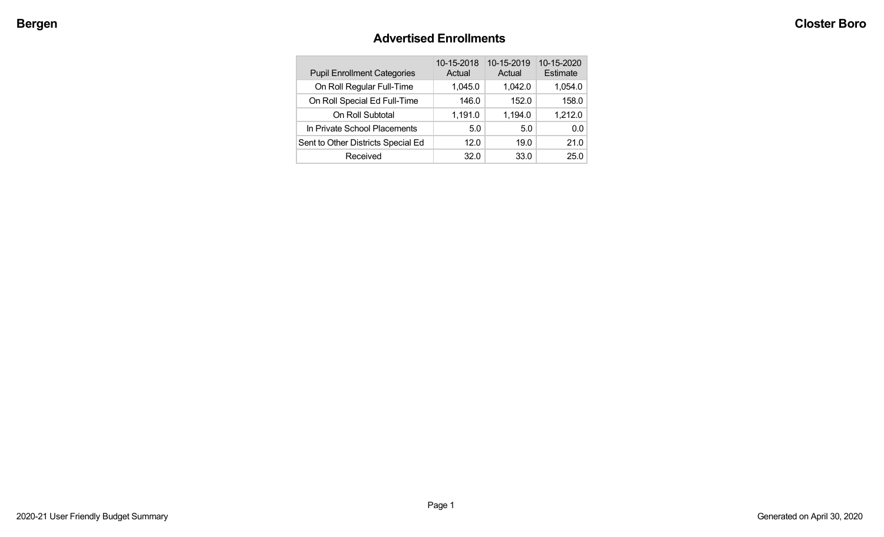# **Advertised Enrollments**

| <b>Pupil Enrollment Categories</b> | 10-15-2018<br>Actual | 10-15-2019<br>Actual | 10-15-2020<br>Estimate |
|------------------------------------|----------------------|----------------------|------------------------|
| On Roll Regular Full-Time          | 1,045.0              | 1,042.0              | 1,054.0                |
| On Roll Special Ed Full-Time       | 146.0                | 152.0                | 158.0                  |
| On Roll Subtotal                   | 1,191.0              | 1,194.0              | 1,212.0                |
| In Private School Placements       | 5.0                  | 5.0                  | 0.0                    |
| Sent to Other Districts Special Ed | 12.0                 | 19.0                 | 21.0                   |
| Received                           | 32.0                 | 33.0                 | 25.0                   |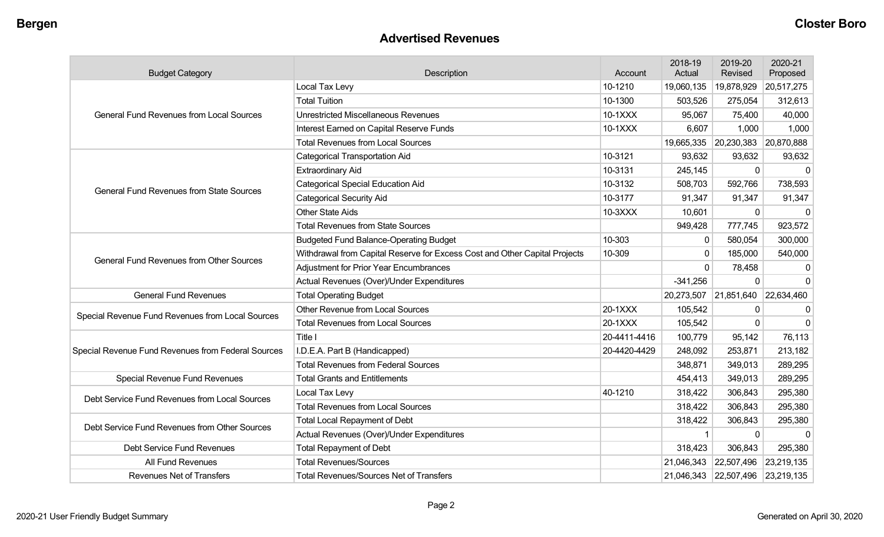#### **Advertised Revenues**

| <b>Budget Category</b>                             | Description                                                                | Account      | 2018-19<br>Actual | 2019-20<br>Revised               | 2020-21<br>Proposed |
|----------------------------------------------------|----------------------------------------------------------------------------|--------------|-------------------|----------------------------------|---------------------|
|                                                    | Local Tax Levy                                                             | 10-1210      | 19,060,135        | 19,878,929                       | 20,517,275          |
|                                                    | <b>Total Tuition</b>                                                       | 10-1300      | 503,526           | 275,054                          | 312,613             |
| <b>General Fund Revenues from Local Sources</b>    | <b>Unrestricted Miscellaneous Revenues</b>                                 | 10-1XXX      | 95,067            | 75,400                           | 40,000              |
|                                                    | Interest Earned on Capital Reserve Funds                                   | 10-1XXX      | 6,607             | 1,000                            | 1,000               |
|                                                    | <b>Total Revenues from Local Sources</b>                                   |              | 19,665,335        | 20,230,383 20,870,888            |                     |
|                                                    | <b>Categorical Transportation Aid</b>                                      | 10-3121      | 93,632            | 93,632                           | 93,632              |
|                                                    | <b>Extraordinary Aid</b>                                                   | 10-3131      | 245,145           | 0                                | 0                   |
| <b>General Fund Revenues from State Sources</b>    | <b>Categorical Special Education Aid</b>                                   | 10-3132      | 508,703           | 592,766                          | 738,593             |
|                                                    | <b>Categorical Security Aid</b>                                            | 10-3177      | 91,347            | 91,347                           | 91,347              |
|                                                    | <b>Other State Aids</b>                                                    | 10-3XXX      | 10,601            | $\Omega$                         | $\Omega$            |
|                                                    | <b>Total Revenues from State Sources</b>                                   |              | 949,428           | 777,745                          | 923,572             |
|                                                    | <b>Budgeted Fund Balance-Operating Budget</b>                              | 10-303       | $\Omega$          | 580,054                          | 300,000             |
| <b>General Fund Revenues from Other Sources</b>    | Withdrawal from Capital Reserve for Excess Cost and Other Capital Projects | 10-309       | $\mathbf 0$       | 185,000                          | 540,000             |
|                                                    | <b>Adjustment for Prior Year Encumbrances</b>                              |              | $\Omega$          | 78,458                           | 0                   |
|                                                    | Actual Revenues (Over)/Under Expenditures                                  |              | $-341,256$        | $\Omega$                         | $\Omega$            |
| <b>General Fund Revenues</b>                       | <b>Total Operating Budget</b>                                              |              | 20,273,507        | 21,851,640 22,634,460            |                     |
| Special Revenue Fund Revenues from Local Sources   | Other Revenue from Local Sources                                           | 20-1XXX      | 105,542           | 0                                | 0                   |
|                                                    | <b>Total Revenues from Local Sources</b>                                   | 20-1XXX      | 105,542           | $\Omega$                         | $\Omega$            |
|                                                    | Title I                                                                    | 20-4411-4416 | 100,779           | 95,142                           | 76,113              |
| Special Revenue Fund Revenues from Federal Sources | I.D.E.A. Part B (Handicapped)                                              | 20-4420-4429 | 248,092           | 253,871                          | 213,182             |
|                                                    | <b>Total Revenues from Federal Sources</b>                                 |              | 348,871           | 349,013                          | 289,295             |
| Special Revenue Fund Revenues                      | <b>Total Grants and Entitlements</b>                                       |              | 454,413           | 349,013                          | 289,295             |
| Debt Service Fund Revenues from Local Sources      | Local Tax Levy                                                             | 40-1210      | 318,422           | 306,843                          | 295,380             |
|                                                    | <b>Total Revenues from Local Sources</b>                                   |              | 318,422           | 306,843                          | 295,380             |
| Debt Service Fund Revenues from Other Sources      | <b>Total Local Repayment of Debt</b>                                       |              | 318,422           | 306,843                          | 295,380             |
|                                                    | Actual Revenues (Over)/Under Expenditures                                  |              |                   | 0                                | $\Omega$            |
| Debt Service Fund Revenues                         | <b>Total Repayment of Debt</b>                                             |              | 318,423           | 306,843                          | 295,380             |
| All Fund Revenues                                  | <b>Total Revenues/Sources</b>                                              |              | 21,046,343        | 22,507,496 23,219,135            |                     |
| <b>Revenues Net of Transfers</b>                   | <b>Total Revenues/Sources Net of Transfers</b>                             |              |                   | 21,046,343 22,507,496 23,219,135 |                     |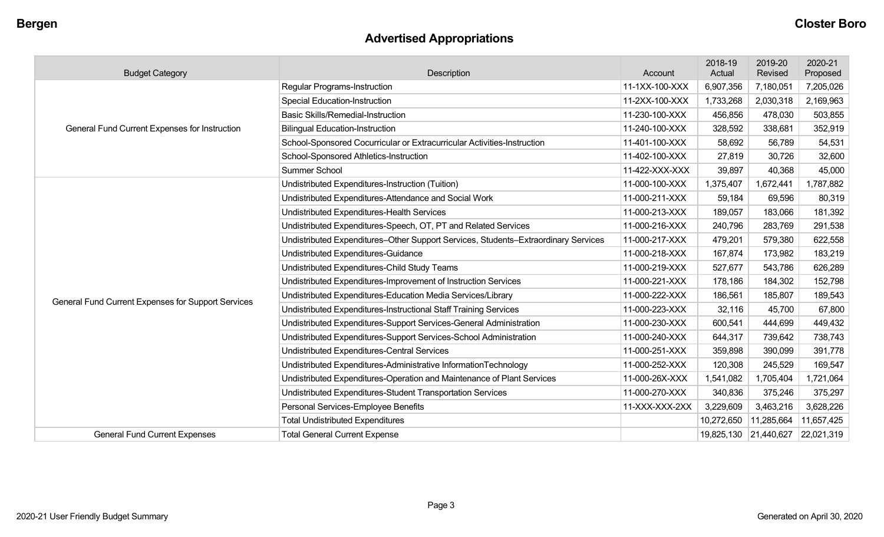# **Advertised Appropriations**

| <b>Budget Category</b>                             | <b>Description</b>                                                                 | Account        | 2018-19<br>Actual | 2019-20<br>Revised    | 2020-21<br>Proposed |
|----------------------------------------------------|------------------------------------------------------------------------------------|----------------|-------------------|-----------------------|---------------------|
|                                                    | Regular Programs-Instruction                                                       | 11-1XX-100-XXX | 6,907,356         | 7,180,051             | 7,205,026           |
|                                                    | <b>Special Education-Instruction</b>                                               | 11-2XX-100-XXX | 1,733,268         | 2,030,318             | 2,169,963           |
|                                                    | <b>Basic Skills/Remedial-Instruction</b>                                           | 11-230-100-XXX | 456,856           | 478,030               | 503,855             |
| General Fund Current Expenses for Instruction      | <b>Bilingual Education-Instruction</b>                                             | 11-240-100-XXX | 328,592           | 338,681               | 352,919             |
|                                                    | School-Sponsored Cocurricular or Extracurricular Activities-Instruction            | 11-401-100-XXX | 58,692            | 56,789                | 54,531              |
|                                                    | School-Sponsored Athletics-Instruction                                             | 11-402-100-XXX | 27,819            | 30,726                | 32,600              |
|                                                    | Summer School                                                                      | 11-422-XXX-XXX | 39,897            | 40,368                | 45,000              |
|                                                    | Undistributed Expenditures-Instruction (Tuition)                                   | 11-000-100-XXX | 1,375,407         | 1,672,441             | 1,787,882           |
|                                                    | Undistributed Expenditures-Attendance and Social Work                              | 11-000-211-XXX | 59,184            | 69,596                | 80,319              |
|                                                    | Undistributed Expenditures-Health Services                                         | 11-000-213-XXX | 189,057           | 183,066               | 181,392             |
|                                                    | Undistributed Expenditures-Speech, OT, PT and Related Services                     | 11-000-216-XXX | 240,796           | 283,769               | 291,538             |
|                                                    | Undistributed Expenditures-Other Support Services, Students-Extraordinary Services | 11-000-217-XXX | 479,201           | 579,380               | 622,558             |
|                                                    | Undistributed Expenditures-Guidance                                                | 11-000-218-XXX | 167,874           | 173,982               | 183,219             |
|                                                    | Undistributed Expenditures-Child Study Teams                                       | 11-000-219-XXX | 527,677           | 543,786               | 626,289             |
|                                                    | Undistributed Expenditures-Improvement of Instruction Services                     | 11-000-221-XXX | 178,186           | 184,302               | 152,798             |
| General Fund Current Expenses for Support Services | Undistributed Expenditures-Education Media Services/Library                        | 11-000-222-XXX | 186,561           | 185,807               | 189,543             |
|                                                    | Undistributed Expenditures-Instructional Staff Training Services                   | 11-000-223-XXX | 32,116            | 45,700                | 67,800              |
|                                                    | Undistributed Expenditures-Support Services-General Administration                 | 11-000-230-XXX | 600,541           | 444,699               | 449,432             |
|                                                    | Undistributed Expenditures-Support Services-School Administration                  | 11-000-240-XXX | 644,317           | 739,642               | 738,743             |
|                                                    | <b>Undistributed Expenditures-Central Services</b>                                 | 11-000-251-XXX | 359,898           | 390,099               | 391,778             |
|                                                    | Undistributed Expenditures-Administrative InformationTechnology                    | 11-000-252-XXX | 120,308           | 245,529               | 169,547             |
|                                                    | Undistributed Expenditures-Operation and Maintenance of Plant Services             | 11-000-26X-XXX | 1,541,082         | ,705,404              | 1,721,064           |
|                                                    | Undistributed Expenditures-Student Transportation Services                         | 11-000-270-XXX | 340,836           | 375,246               | 375,297             |
|                                                    | Personal Services-Employee Benefits                                                | 11-XXX-XXX-2XX | 3,229,609         | 3,463,216             | 3,628,226           |
|                                                    | <b>Total Undistributed Expenditures</b>                                            |                | 10,272,650        | 11,285,664            | 11,657,425          |
| <b>General Fund Current Expenses</b>               | <b>Total General Current Expense</b>                                               |                |                   | 19,825,130 21,440,627 | 22,021,319          |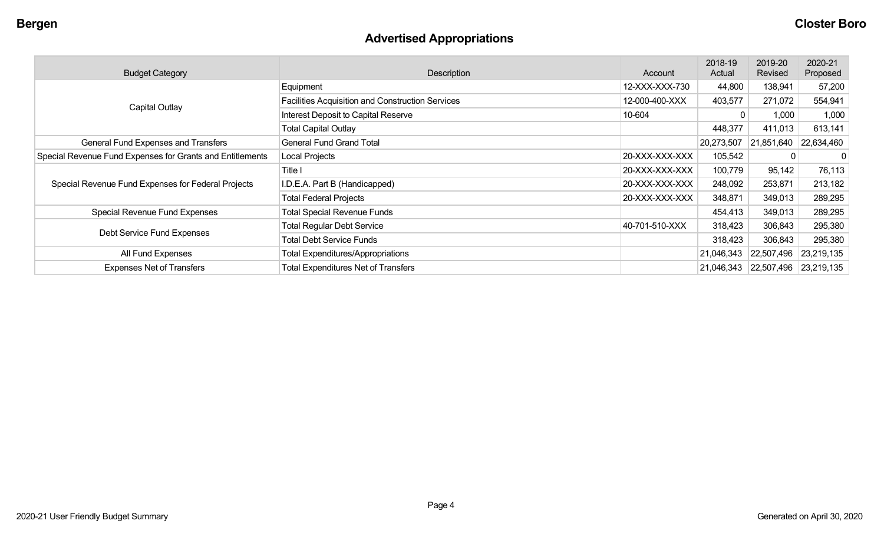# **Advertised Appropriations**

| <b>Budget Category</b>                                    | <b>Description</b>                                      | Account        | 2018-19<br>Actual | 2019-20<br>Revised | 2020-21<br>Proposed |
|-----------------------------------------------------------|---------------------------------------------------------|----------------|-------------------|--------------------|---------------------|
|                                                           | Equipment                                               | 12-XXX-XXX-730 | 44,800            | 138,941            | 57,200              |
| <b>Capital Outlay</b>                                     | <b>Facilities Acquisition and Construction Services</b> | 12-000-400-XXX | 403,577           | 271,072            | 554,941             |
|                                                           | Interest Deposit to Capital Reserve                     | 10-604         |                   | 1,000              | 1,000               |
|                                                           | <b>Total Capital Outlay</b>                             |                | 448,377           | 411,013            | 613,141             |
| General Fund Expenses and Transfers                       | <b>General Fund Grand Total</b>                         |                | 20,273,507        | 21,851,640         | 22,634,460          |
| Special Revenue Fund Expenses for Grants and Entitlements | Local Projects                                          | 20-XXX-XXX-XXX | 105,542           | $\Omega$           | 0                   |
|                                                           | Title I                                                 | 20-XXX-XXX-XXX | 100,779           | 95,142             | 76,113              |
| Special Revenue Fund Expenses for Federal Projects        | I.D.E.A. Part B (Handicapped)                           | 20-XXX-XXX-XXX | 248,092           | 253,871            | 213,182             |
|                                                           | <b>Total Federal Projects</b>                           | 20-XXX-XXX-XXX | 348,871           | 349,013            | 289,295             |
| Special Revenue Fund Expenses                             | <b>Total Special Revenue Funds</b>                      |                | 454,413           | 349,013            | 289,295             |
|                                                           | <b>Total Regular Debt Service</b>                       | 40-701-510-XXX | 318,423           | 306,843            | 295,380             |
| Debt Service Fund Expenses                                | <b>Total Debt Service Funds</b>                         |                | 318,423           | 306,843            | 295,380             |
| All Fund Expenses                                         | <b>Total Expenditures/Appropriations</b>                |                | 21,046,343        | 22,507,496         | 23,219,135          |
| <b>Expenses Net of Transfers</b>                          | <b>Total Expenditures Net of Transfers</b>              |                | 21,046,343        | 22,507,496         | 23,219,135          |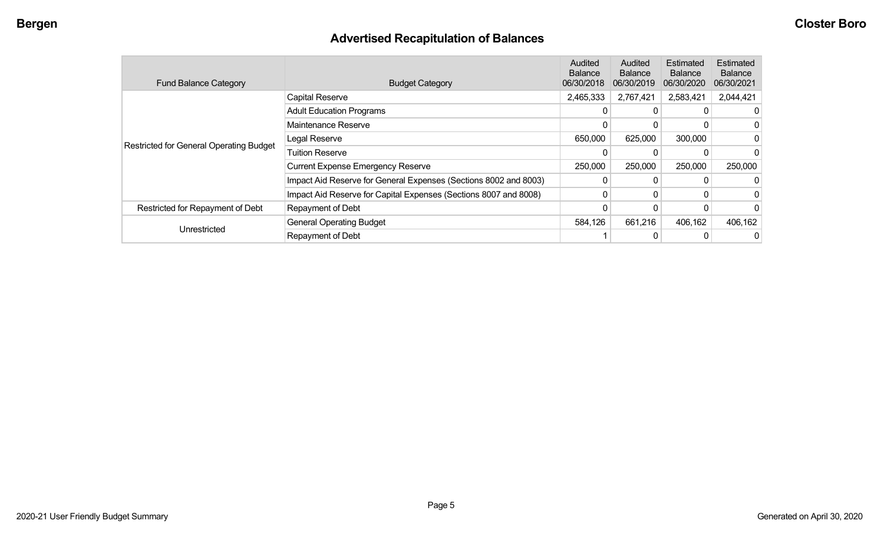# **Advertised Recapitulation of Balances**

| <b>Fund Balance Category</b>                   | <b>Budget Category</b>                                           | <b>Audited</b><br><b>Balance</b><br>06/30/2018 | Audited<br><b>Balance</b><br>06/30/2019 | Estimated<br><b>Balance</b><br>06/30/2020 | <b>Estimated</b><br><b>Balance</b><br>06/30/2021 |
|------------------------------------------------|------------------------------------------------------------------|------------------------------------------------|-----------------------------------------|-------------------------------------------|--------------------------------------------------|
|                                                | <b>Capital Reserve</b>                                           | 2,465,333                                      | 2,767,421                               | 2,583,421                                 | 2,044,421                                        |
|                                                | <b>Adult Education Programs</b>                                  | 0                                              | 0                                       |                                           |                                                  |
|                                                | Maintenance Reserve                                              | 0                                              | 0                                       |                                           |                                                  |
| <b>Restricted for General Operating Budget</b> | Legal Reserve                                                    | 650,000                                        | 625,000                                 | 300,000                                   |                                                  |
|                                                | <b>Tuition Reserve</b>                                           |                                                |                                         |                                           |                                                  |
|                                                | <b>Current Expense Emergency Reserve</b>                         | 250,000                                        | 250,000                                 | 250,000                                   | 250,000                                          |
|                                                | Impact Aid Reserve for General Expenses (Sections 8002 and 8003) | $\Omega$                                       | $\Omega$                                |                                           |                                                  |
|                                                | Impact Aid Reserve for Capital Expenses (Sections 8007 and 8008) | 0                                              | 0                                       |                                           |                                                  |
| Restricted for Repayment of Debt               | Repayment of Debt                                                |                                                |                                         |                                           |                                                  |
| Unrestricted                                   | <b>General Operating Budget</b>                                  | 584,126                                        | 661,216                                 | 406,162                                   | 406,162                                          |
|                                                | Repayment of Debt                                                |                                                |                                         |                                           |                                                  |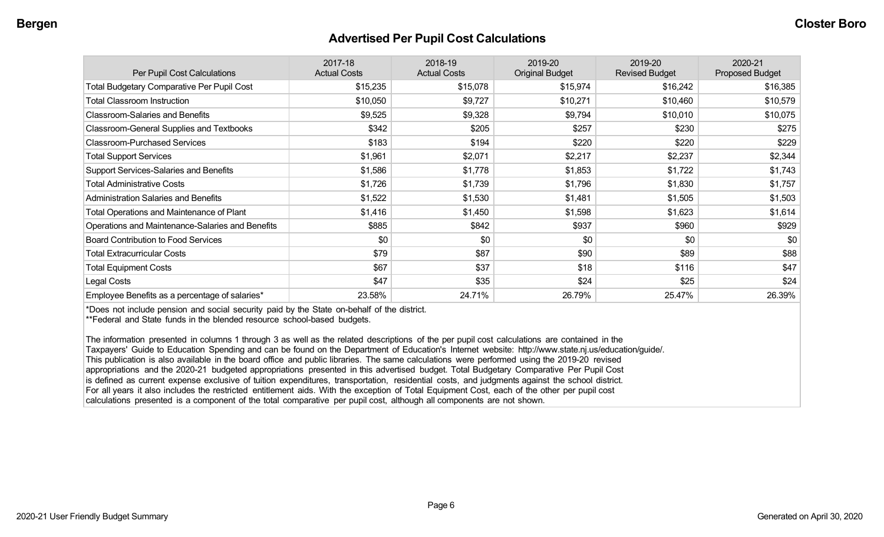#### **Advertised Per Pupil Cost Calculations**

| Per Pupil Cost Calculations                       | 2017-18<br><b>Actual Costs</b> | 2018-19<br><b>Actual Costs</b> | 2019-20<br><b>Original Budget</b> | 2019-20<br><b>Revised Budget</b> | 2020-21<br><b>Proposed Budget</b> |
|---------------------------------------------------|--------------------------------|--------------------------------|-----------------------------------|----------------------------------|-----------------------------------|
| <b>Total Budgetary Comparative Per Pupil Cost</b> | \$15,235                       | \$15,078                       | \$15,974                          | \$16,242                         | \$16,385                          |
| <b>Total Classroom Instruction</b>                | \$10,050                       | \$9,727                        | \$10,271                          | \$10,460                         | \$10,579                          |
| <b>Classroom-Salaries and Benefits</b>            | \$9,525                        | \$9,328                        | \$9,794                           | \$10,010                         | \$10,075                          |
| Classroom-General Supplies and Textbooks          | \$342                          | \$205                          | \$257                             | \$230                            | \$275                             |
| <b>Classroom-Purchased Services</b>               | \$183                          | \$194                          | \$220                             | \$220                            | \$229                             |
| <b>Total Support Services</b>                     | \$1,961                        | \$2,071                        | \$2,217                           | \$2,237                          | \$2,344                           |
| Support Services-Salaries and Benefits            | \$1,586                        | \$1,778                        | \$1,853                           | \$1,722                          | \$1,743                           |
| <b>Total Administrative Costs</b>                 | \$1,726                        | \$1,739                        | \$1,796                           | \$1,830                          | \$1,757                           |
| <b>Administration Salaries and Benefits</b>       | \$1,522                        | \$1,530                        | \$1,481                           | \$1,505                          | \$1,503                           |
| Total Operations and Maintenance of Plant         | \$1,416                        | \$1,450                        | \$1,598                           | \$1,623                          | \$1,614                           |
| Operations and Maintenance-Salaries and Benefits  | \$885                          | \$842                          | \$937                             | \$960                            | \$929                             |
| <b>Board Contribution to Food Services</b>        | \$0                            | \$0                            | \$0                               | \$0                              | \$0                               |
| <b>Total Extracurricular Costs</b>                | \$79                           | \$87                           | \$90                              | \$89                             | \$88                              |
| <b>Total Equipment Costs</b>                      | \$67                           | \$37                           | \$18                              | \$116                            | \$47                              |
| Legal Costs                                       | \$47                           | \$35                           | \$24                              | \$25                             | \$24                              |
| Employee Benefits as a percentage of salaries*    | 23.58%                         | 24.71%                         | 26.79%                            | 25.47%                           | 26.39%                            |

\*Does not include pension and social security paid by the State on-behalf of the district.

\*\*Federal and State funds in the blended resource school-based budgets.

The information presented in columns 1 through 3 as well as the related descriptions of the per pupil cost calculations are contained in the Taxpayers' Guide to Education Spending and can be found on the Department of Education's Internet website: http://www.state.nj.us/education/guide/. This publication is also available in the board office and public libraries. The same calculations were performed using the 2019-20 revised appropriations and the 2020-21 budgeted appropriations presented in this advertised budget. Total Budgetary Comparative Per Pupil Cost is defined as current expense exclusive of tuition expenditures, transportation, residential costs, and judgments against the school district. For all years it also includes the restricted entitlement aids. With the exception of Total Equipment Cost, each of the other per pupil cost calculations presented is a component of the total comparative per pupil cost, although all components are not shown.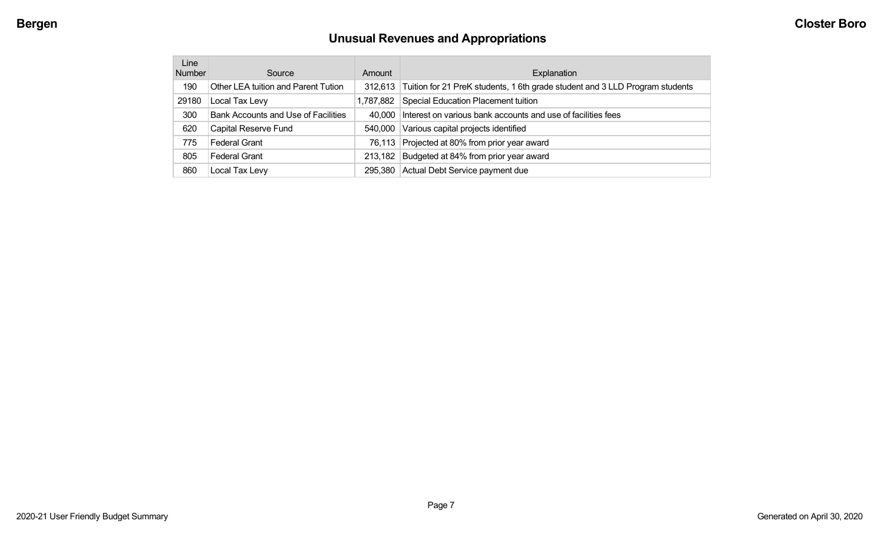# **Unusual Revenues and Appropriations**

| Line<br><b>Number</b> | Source                              | Amount    | Explanation                                                                            |
|-----------------------|-------------------------------------|-----------|----------------------------------------------------------------------------------------|
| 190                   | Other LEA tuition and Parent Tution |           | 312,613   Tuition for 21 PreK students, 1 6th grade student and 3 LLD Program students |
| 29180                 | Local Tax Levy                      | 1,787,882 | <b>Special Education Placement tuition</b>                                             |
| 300                   | Bank Accounts and Use of Facilities | 40.000    | Interest on various bank accounts and use of facilities fees                           |
| 620                   | Capital Reserve Fund                | 540.000   | Various capital projects identified                                                    |
| 775                   | <b>Federal Grant</b>                |           | 76,113 Projected at 80% from prior year award                                          |
| 805                   | <b>Federal Grant</b>                | 213,182   | Budgeted at 84% from prior year award                                                  |
| 860                   | Local Tax Levy                      | 295,380   | Actual Debt Service payment due                                                        |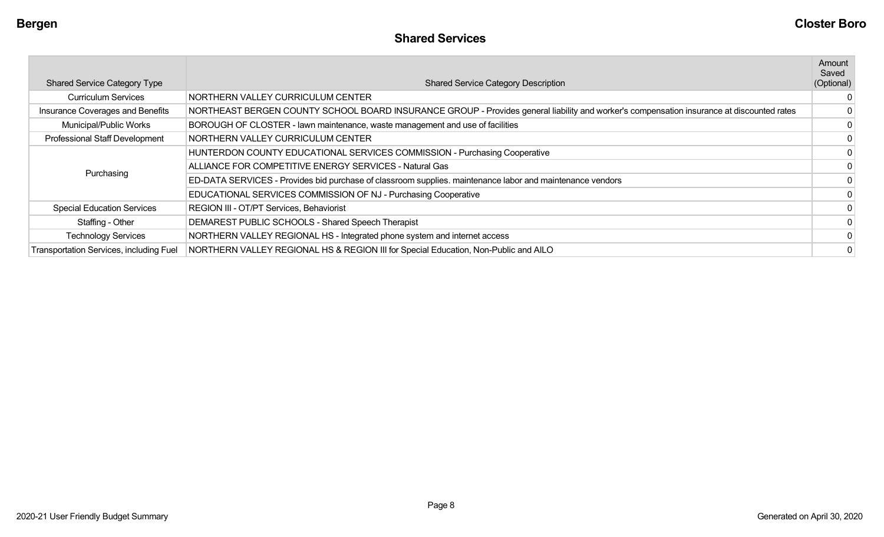| <b>Shared Service Category Type</b>            | <b>Shared Service Category Description</b>                                                                                                | Amount<br>Saved<br>(Optional) |
|------------------------------------------------|-------------------------------------------------------------------------------------------------------------------------------------------|-------------------------------|
| <b>Curriculum Services</b>                     | NORTHERN VALLEY CURRICULUM CENTER                                                                                                         |                               |
| Insurance Coverages and Benefits               | NORTHEAST BERGEN COUNTY SCHOOL BOARD INSURANCE GROUP - Provides general liability and worker's compensation insurance at discounted rates |                               |
| Municipal/Public Works                         | BOROUGH OF CLOSTER - lawn maintenance, waste management and use of facilities                                                             | 0                             |
| Professional Staff Development                 | NORTHERN VALLEY CURRICULUM CENTER                                                                                                         |                               |
|                                                | HUNTERDON COUNTY EDUCATIONAL SERVICES COMMISSION - Purchasing Cooperative                                                                 |                               |
|                                                | ALLIANCE FOR COMPETITIVE ENERGY SERVICES - Natural Gas                                                                                    | 0                             |
| Purchasing                                     | ED-DATA SERVICES - Provides bid purchase of classroom supplies. maintenance labor and maintenance vendors                                 |                               |
|                                                | EDUCATIONAL SERVICES COMMISSION OF NJ - Purchasing Cooperative                                                                            |                               |
| <b>Special Education Services</b>              | REGION III - OT/PT Services, Behaviorist                                                                                                  |                               |
| Staffing - Other                               | DEMAREST PUBLIC SCHOOLS - Shared Speech Therapist                                                                                         |                               |
| <b>Technology Services</b>                     | NORTHERN VALLEY REGIONAL HS - Integrated phone system and internet access                                                                 |                               |
| <b>Transportation Services, including Fuel</b> | NORTHERN VALLEY REGIONAL HS & REGION III for Special Education, Non-Public and AILO                                                       |                               |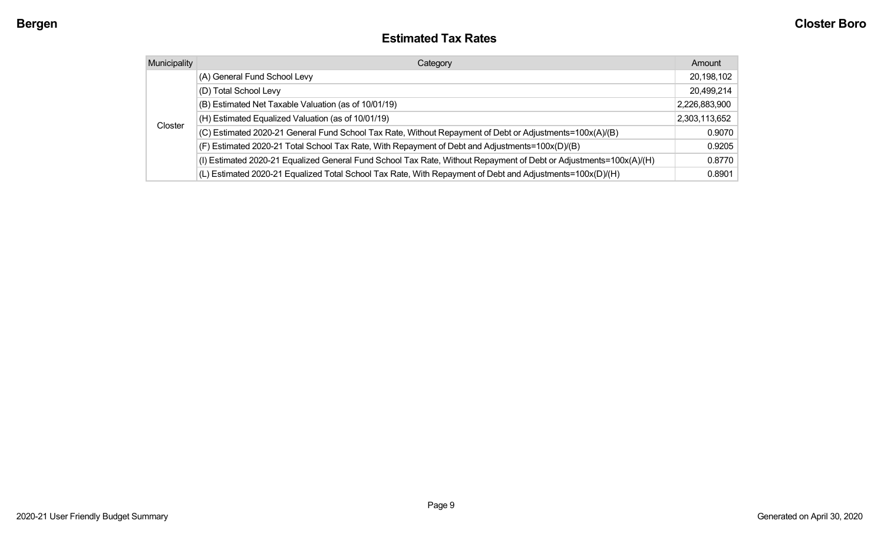#### **Estimated Tax Rates**

| <b>Municipality</b> | Category                                                                                                           | Amount        |
|---------------------|--------------------------------------------------------------------------------------------------------------------|---------------|
| Closter             | (A) General Fund School Levy                                                                                       | 20,198,102    |
|                     | (D) Total School Levy                                                                                              | 20,499,214    |
|                     | (B) Estimated Net Taxable Valuation (as of 10/01/19)                                                               | 2,226,883,900 |
|                     | (H) Estimated Equalized Valuation (as of 10/01/19)                                                                 | 2,303,113,652 |
|                     | (C) Estimated 2020-21 General Fund School Tax Rate, Without Repayment of Debt or Adjustments=100x(A)/(B)           | 0.9070        |
|                     | (F) Estimated 2020-21 Total School Tax Rate, With Repayment of Debt and Adjustments=100x(D)/(B)                    | 0.9205        |
|                     | (I) Estimated 2020-21 Equalized General Fund School Tax Rate, Without Repayment of Debt or Adjustments=100x(A)/(H) | 0.8770        |
|                     | (L) Estimated 2020-21 Equalized Total School Tax Rate, With Repayment of Debt and Adjustments=100x(D)/(H)          | 0.8901        |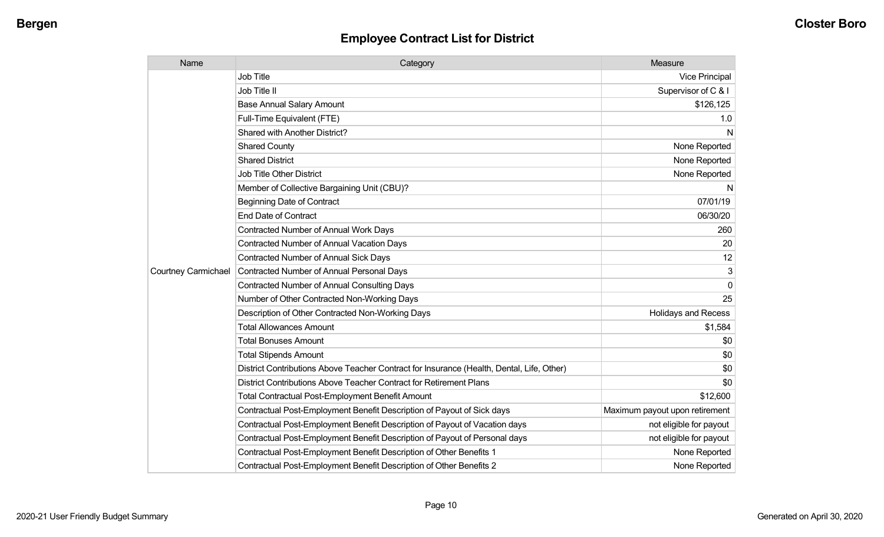| Name                       | Category                                                                                  | Measure                        |
|----------------------------|-------------------------------------------------------------------------------------------|--------------------------------|
|                            | <b>Job Title</b>                                                                          | Vice Principal                 |
|                            | Job Title II                                                                              | Supervisor of C & I            |
|                            | <b>Base Annual Salary Amount</b>                                                          | \$126,125                      |
|                            | Full-Time Equivalent (FTE)                                                                | 1.0                            |
|                            | Shared with Another District?                                                             | N                              |
|                            | <b>Shared County</b>                                                                      | None Reported                  |
|                            | <b>Shared District</b>                                                                    | None Reported                  |
|                            | <b>Job Title Other District</b>                                                           | None Reported                  |
|                            | Member of Collective Bargaining Unit (CBU)?                                               | N                              |
|                            | <b>Beginning Date of Contract</b>                                                         | 07/01/19                       |
|                            | <b>End Date of Contract</b>                                                               | 06/30/20                       |
|                            | Contracted Number of Annual Work Days                                                     | 260                            |
|                            | <b>Contracted Number of Annual Vacation Days</b>                                          | 20                             |
|                            | Contracted Number of Annual Sick Days                                                     | 12                             |
| <b>Courtney Carmichael</b> | Contracted Number of Annual Personal Days                                                 | 3                              |
|                            | <b>Contracted Number of Annual Consulting Days</b>                                        | $\Omega$                       |
|                            | Number of Other Contracted Non-Working Days                                               | 25                             |
|                            | Description of Other Contracted Non-Working Days                                          | <b>Holidays and Recess</b>     |
|                            | <b>Total Allowances Amount</b>                                                            | \$1,584                        |
|                            | <b>Total Bonuses Amount</b>                                                               | \$0                            |
|                            | <b>Total Stipends Amount</b>                                                              | \$0                            |
|                            | District Contributions Above Teacher Contract for Insurance (Health, Dental, Life, Other) | \$0                            |
|                            | District Contributions Above Teacher Contract for Retirement Plans                        | \$0                            |
|                            | <b>Total Contractual Post-Employment Benefit Amount</b>                                   | \$12,600                       |
|                            | Contractual Post-Employment Benefit Description of Payout of Sick days                    | Maximum payout upon retirement |
|                            | Contractual Post-Employment Benefit Description of Payout of Vacation days                | not eligible for payout        |
|                            | Contractual Post-Employment Benefit Description of Payout of Personal days                | not eligible for payout        |
|                            | Contractual Post-Employment Benefit Description of Other Benefits 1                       | None Reported                  |
|                            | Contractual Post-Employment Benefit Description of Other Benefits 2                       | None Reported                  |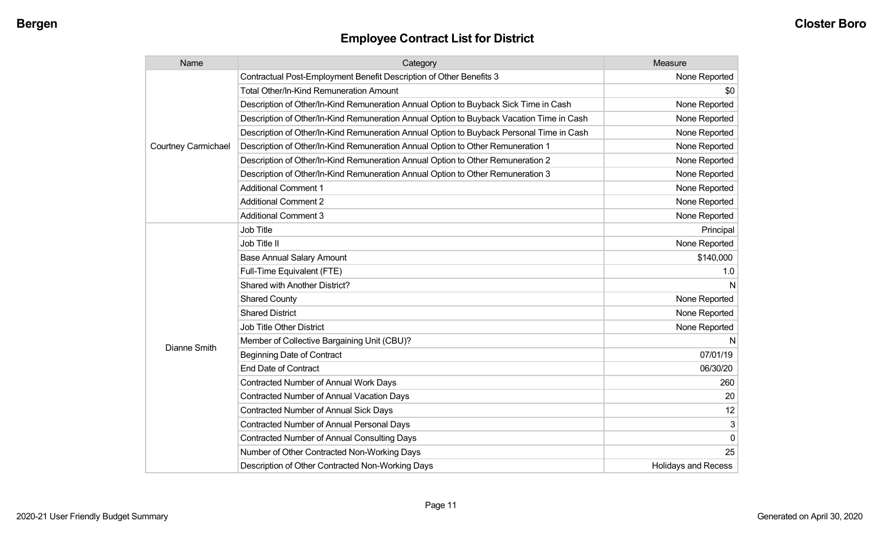| Name                       | Category                                                                                 | Measure                    |
|----------------------------|------------------------------------------------------------------------------------------|----------------------------|
|                            | Contractual Post-Employment Benefit Description of Other Benefits 3                      | None Reported              |
|                            | <b>Total Other/In-Kind Remuneration Amount</b>                                           | \$0                        |
|                            | Description of Other/In-Kind Remuneration Annual Option to Buyback Sick Time in Cash     | None Reported              |
|                            | Description of Other/In-Kind Remuneration Annual Option to Buyback Vacation Time in Cash | None Reported              |
|                            | Description of Other/In-Kind Remuneration Annual Option to Buyback Personal Time in Cash | None Reported              |
| <b>Courtney Carmichael</b> | Description of Other/In-Kind Remuneration Annual Option to Other Remuneration 1          | None Reported              |
|                            | Description of Other/In-Kind Remuneration Annual Option to Other Remuneration 2          | None Reported              |
|                            | Description of Other/In-Kind Remuneration Annual Option to Other Remuneration 3          | None Reported              |
|                            | <b>Additional Comment 1</b>                                                              | None Reported              |
|                            | <b>Additional Comment 2</b>                                                              | None Reported              |
|                            | <b>Additional Comment 3</b>                                                              | None Reported              |
|                            | <b>Job Title</b>                                                                         | Principal                  |
|                            | Job Title II                                                                             | None Reported              |
|                            | <b>Base Annual Salary Amount</b>                                                         | \$140,000                  |
|                            | Full-Time Equivalent (FTE)                                                               | 1.0                        |
|                            | Shared with Another District?                                                            | N                          |
|                            | <b>Shared County</b>                                                                     | None Reported              |
|                            | <b>Shared District</b>                                                                   | None Reported              |
|                            | <b>Job Title Other District</b>                                                          | None Reported              |
| <b>Dianne Smith</b>        | Member of Collective Bargaining Unit (CBU)?                                              | N                          |
|                            | <b>Beginning Date of Contract</b>                                                        | 07/01/19                   |
|                            | <b>End Date of Contract</b>                                                              | 06/30/20                   |
|                            | Contracted Number of Annual Work Days                                                    | 260                        |
|                            | <b>Contracted Number of Annual Vacation Days</b>                                         | 20                         |
|                            | <b>Contracted Number of Annual Sick Days</b>                                             | 12                         |
|                            | Contracted Number of Annual Personal Days                                                | 3                          |
|                            | <b>Contracted Number of Annual Consulting Days</b>                                       | $\Omega$                   |
|                            | Number of Other Contracted Non-Working Days                                              | 25                         |
|                            | Description of Other Contracted Non-Working Days                                         | <b>Holidays and Recess</b> |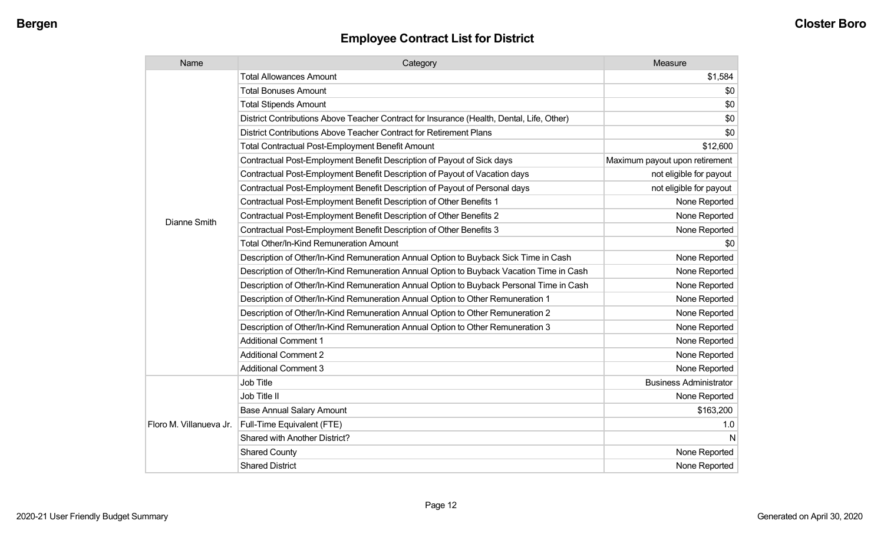| Name                    | Category                                                                                  | Measure                        |
|-------------------------|-------------------------------------------------------------------------------------------|--------------------------------|
|                         | <b>Total Allowances Amount</b>                                                            | \$1,584                        |
|                         | <b>Total Bonuses Amount</b>                                                               | \$0                            |
|                         | <b>Total Stipends Amount</b>                                                              | \$0                            |
|                         | District Contributions Above Teacher Contract for Insurance (Health, Dental, Life, Other) | \$0                            |
|                         | District Contributions Above Teacher Contract for Retirement Plans                        | \$0                            |
|                         | <b>Total Contractual Post-Employment Benefit Amount</b>                                   | \$12,600                       |
|                         | Contractual Post-Employment Benefit Description of Payout of Sick days                    | Maximum payout upon retirement |
|                         | Contractual Post-Employment Benefit Description of Payout of Vacation days                | not eligible for payout        |
|                         | Contractual Post-Employment Benefit Description of Payout of Personal days                | not eligible for payout        |
|                         | Contractual Post-Employment Benefit Description of Other Benefits 1                       | None Reported                  |
| Dianne Smith            | Contractual Post-Employment Benefit Description of Other Benefits 2                       | None Reported                  |
|                         | Contractual Post-Employment Benefit Description of Other Benefits 3                       | None Reported                  |
|                         | Total Other/In-Kind Remuneration Amount                                                   | \$0                            |
|                         | Description of Other/In-Kind Remuneration Annual Option to Buyback Sick Time in Cash      | None Reported                  |
|                         | Description of Other/In-Kind Remuneration Annual Option to Buyback Vacation Time in Cash  | None Reported                  |
|                         | Description of Other/In-Kind Remuneration Annual Option to Buyback Personal Time in Cash  | None Reported                  |
|                         | Description of Other/In-Kind Remuneration Annual Option to Other Remuneration 1           | None Reported                  |
|                         | Description of Other/In-Kind Remuneration Annual Option to Other Remuneration 2           | None Reported                  |
|                         | Description of Other/In-Kind Remuneration Annual Option to Other Remuneration 3           | None Reported                  |
|                         | <b>Additional Comment 1</b>                                                               | None Reported                  |
|                         | <b>Additional Comment 2</b>                                                               | None Reported                  |
|                         | <b>Additional Comment 3</b>                                                               | None Reported                  |
|                         | Job Title                                                                                 | <b>Business Administrator</b>  |
|                         | Job Title II                                                                              | None Reported                  |
| Floro M. Villanueva Jr. | <b>Base Annual Salary Amount</b>                                                          | \$163,200                      |
|                         | Full-Time Equivalent (FTE)                                                                | 1.0                            |
|                         | Shared with Another District?                                                             | N                              |
|                         | <b>Shared County</b>                                                                      | None Reported                  |
|                         | <b>Shared District</b>                                                                    | None Reported                  |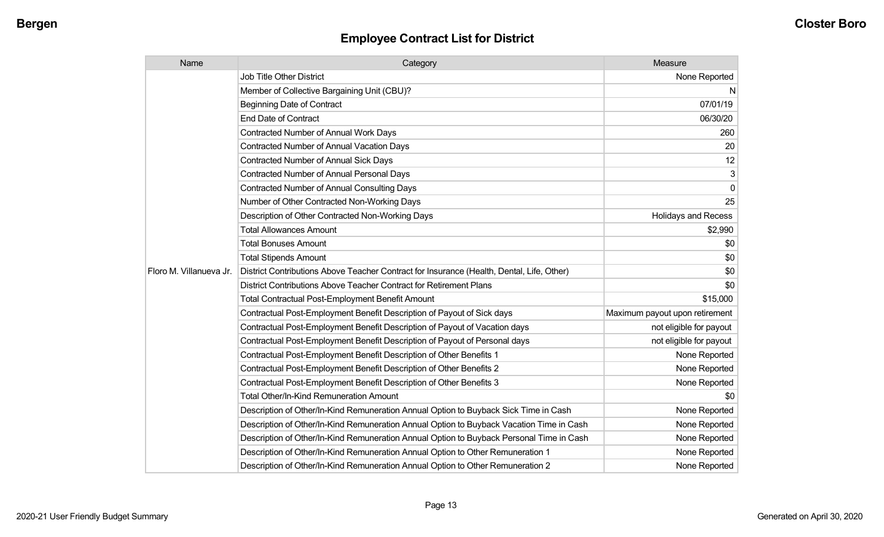| Name                    | Category                                                                                  | Measure                        |
|-------------------------|-------------------------------------------------------------------------------------------|--------------------------------|
|                         | Job Title Other District                                                                  | None Reported                  |
|                         | Member of Collective Bargaining Unit (CBU)?                                               | N                              |
|                         | <b>Beginning Date of Contract</b>                                                         | 07/01/19                       |
|                         | <b>End Date of Contract</b>                                                               | 06/30/20                       |
|                         | Contracted Number of Annual Work Days                                                     | 260                            |
|                         | <b>Contracted Number of Annual Vacation Days</b>                                          | 20                             |
|                         | <b>Contracted Number of Annual Sick Days</b>                                              | 12                             |
|                         | <b>Contracted Number of Annual Personal Days</b>                                          | 3                              |
|                         | <b>Contracted Number of Annual Consulting Days</b>                                        | $\mathbf 0$                    |
|                         | Number of Other Contracted Non-Working Days                                               | 25                             |
|                         | Description of Other Contracted Non-Working Days                                          | <b>Holidays and Recess</b>     |
|                         | <b>Total Allowances Amount</b>                                                            | \$2,990                        |
|                         | <b>Total Bonuses Amount</b>                                                               | \$0                            |
|                         | <b>Total Stipends Amount</b>                                                              | \$0                            |
| Floro M. Villanueva Jr. | District Contributions Above Teacher Contract for Insurance (Health, Dental, Life, Other) | \$0                            |
|                         | District Contributions Above Teacher Contract for Retirement Plans                        | \$0                            |
|                         | <b>Total Contractual Post-Employment Benefit Amount</b>                                   | \$15,000                       |
|                         | Contractual Post-Employment Benefit Description of Payout of Sick days                    | Maximum payout upon retirement |
|                         | Contractual Post-Employment Benefit Description of Payout of Vacation days                | not eligible for payout        |
|                         | Contractual Post-Employment Benefit Description of Payout of Personal days                | not eligible for payout        |
|                         | Contractual Post-Employment Benefit Description of Other Benefits 1                       | None Reported                  |
|                         | Contractual Post-Employment Benefit Description of Other Benefits 2                       | None Reported                  |
|                         | Contractual Post-Employment Benefit Description of Other Benefits 3                       | None Reported                  |
|                         | <b>Total Other/In-Kind Remuneration Amount</b>                                            | \$0                            |
|                         | Description of Other/In-Kind Remuneration Annual Option to Buyback Sick Time in Cash      | None Reported                  |
|                         | Description of Other/In-Kind Remuneration Annual Option to Buyback Vacation Time in Cash  | None Reported                  |
|                         | Description of Other/In-Kind Remuneration Annual Option to Buyback Personal Time in Cash  | None Reported                  |
|                         | Description of Other/In-Kind Remuneration Annual Option to Other Remuneration 1           | None Reported                  |
|                         | Description of Other/In-Kind Remuneration Annual Option to Other Remuneration 2           | None Reported                  |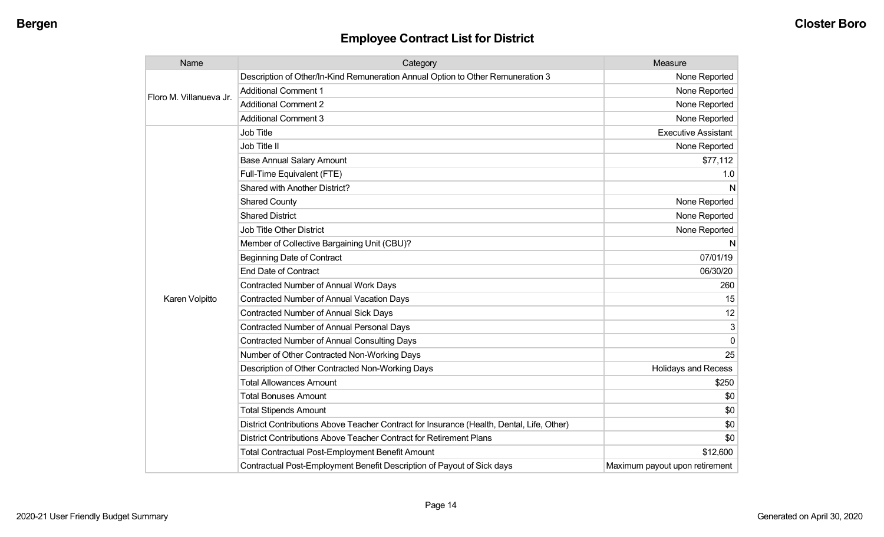| Name                    | Category                                                                                  | Measure                        |
|-------------------------|-------------------------------------------------------------------------------------------|--------------------------------|
| Floro M. Villanueva Jr. | Description of Other/In-Kind Remuneration Annual Option to Other Remuneration 3           | None Reported                  |
|                         | <b>Additional Comment 1</b>                                                               | None Reported                  |
|                         | <b>Additional Comment 2</b>                                                               | None Reported                  |
|                         | <b>Additional Comment 3</b>                                                               | None Reported                  |
|                         | Job Title                                                                                 | <b>Executive Assistant</b>     |
|                         | Job Title II                                                                              | None Reported                  |
|                         | <b>Base Annual Salary Amount</b>                                                          | \$77,112                       |
|                         | Full-Time Equivalent (FTE)                                                                | 1.0                            |
|                         | <b>Shared with Another District?</b>                                                      | N                              |
|                         | <b>Shared County</b>                                                                      | None Reported                  |
|                         | <b>Shared District</b>                                                                    | None Reported                  |
|                         | Job Title Other District                                                                  | None Reported                  |
|                         | Member of Collective Bargaining Unit (CBU)?                                               | N                              |
|                         | <b>Beginning Date of Contract</b>                                                         | 07/01/19                       |
|                         | <b>End Date of Contract</b>                                                               | 06/30/20                       |
|                         | Contracted Number of Annual Work Days                                                     | 260                            |
| Karen Volpitto          | Contracted Number of Annual Vacation Days                                                 | 15                             |
|                         | Contracted Number of Annual Sick Days                                                     | 12                             |
|                         | <b>Contracted Number of Annual Personal Days</b>                                          | 3                              |
|                         | <b>Contracted Number of Annual Consulting Days</b>                                        | $\Omega$                       |
|                         | Number of Other Contracted Non-Working Days                                               | 25                             |
|                         | Description of Other Contracted Non-Working Days                                          | <b>Holidays and Recess</b>     |
|                         | <b>Total Allowances Amount</b>                                                            | \$250                          |
|                         | <b>Total Bonuses Amount</b>                                                               | \$0                            |
|                         | <b>Total Stipends Amount</b>                                                              | \$0                            |
|                         | District Contributions Above Teacher Contract for Insurance (Health, Dental, Life, Other) | \$0                            |
|                         | District Contributions Above Teacher Contract for Retirement Plans                        | \$0                            |
|                         | <b>Total Contractual Post-Employment Benefit Amount</b>                                   | \$12,600                       |
|                         | Contractual Post-Employment Benefit Description of Payout of Sick days                    | Maximum payout upon retirement |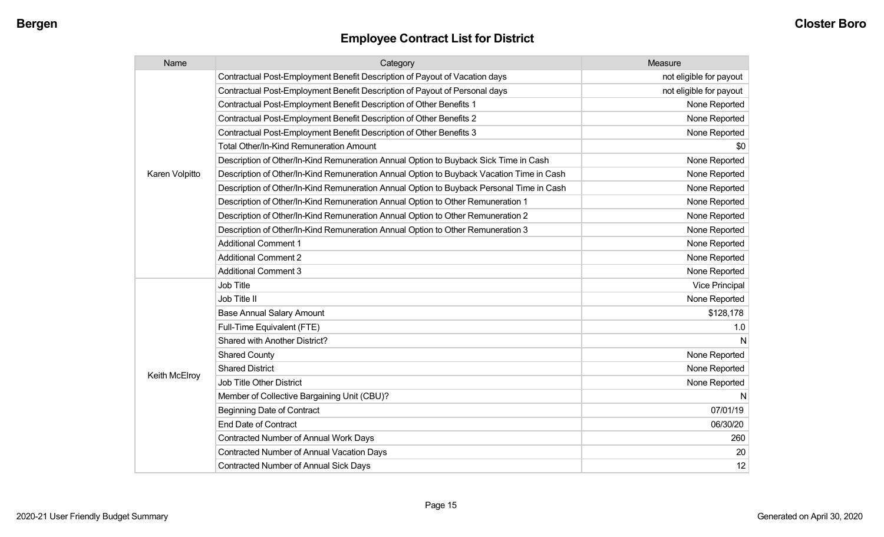| Name           | Category                                                                                 | Measure                 |
|----------------|------------------------------------------------------------------------------------------|-------------------------|
|                | Contractual Post-Employment Benefit Description of Payout of Vacation days               | not eligible for payout |
|                | Contractual Post-Employment Benefit Description of Payout of Personal days               | not eligible for payout |
|                | Contractual Post-Employment Benefit Description of Other Benefits 1                      | None Reported           |
|                | Contractual Post-Employment Benefit Description of Other Benefits 2                      | None Reported           |
|                | Contractual Post-Employment Benefit Description of Other Benefits 3                      | None Reported           |
|                | <b>Total Other/In-Kind Remuneration Amount</b>                                           | \$0                     |
|                | Description of Other/In-Kind Remuneration Annual Option to Buyback Sick Time in Cash     | None Reported           |
| Karen Volpitto | Description of Other/In-Kind Remuneration Annual Option to Buyback Vacation Time in Cash | None Reported           |
|                | Description of Other/In-Kind Remuneration Annual Option to Buyback Personal Time in Cash | None Reported           |
|                | Description of Other/In-Kind Remuneration Annual Option to Other Remuneration 1          | None Reported           |
|                | Description of Other/In-Kind Remuneration Annual Option to Other Remuneration 2          | None Reported           |
|                | Description of Other/In-Kind Remuneration Annual Option to Other Remuneration 3          | None Reported           |
|                | <b>Additional Comment 1</b>                                                              | None Reported           |
|                | <b>Additional Comment 2</b>                                                              | None Reported           |
|                | <b>Additional Comment 3</b>                                                              | None Reported           |
|                | Job Title                                                                                | <b>Vice Principal</b>   |
|                | Job Title II                                                                             | None Reported           |
|                | <b>Base Annual Salary Amount</b>                                                         | \$128,178               |
|                | Full-Time Equivalent (FTE)                                                               | 1.0                     |
|                | Shared with Another District?                                                            | N                       |
|                | <b>Shared County</b>                                                                     | None Reported           |
|                | <b>Shared District</b>                                                                   | None Reported           |
| Keith McElroy  | Job Title Other District                                                                 | None Reported           |
|                | Member of Collective Bargaining Unit (CBU)?                                              | N                       |
|                | <b>Beginning Date of Contract</b>                                                        | 07/01/19                |
|                | <b>End Date of Contract</b>                                                              | 06/30/20                |
|                | <b>Contracted Number of Annual Work Days</b>                                             | 260                     |
|                | <b>Contracted Number of Annual Vacation Days</b>                                         | 20                      |
|                | Contracted Number of Annual Sick Days                                                    | 12                      |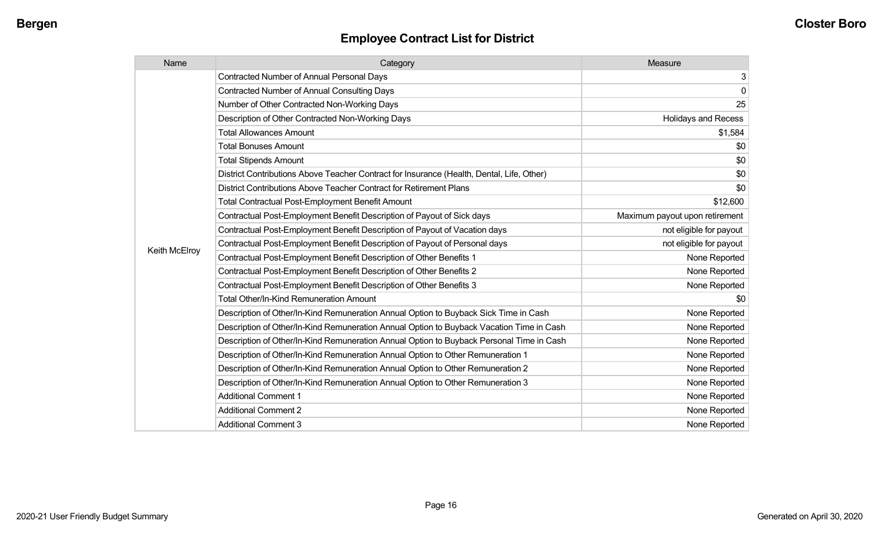| Name          | Category                                                                                  | Measure                        |
|---------------|-------------------------------------------------------------------------------------------|--------------------------------|
|               | <b>Contracted Number of Annual Personal Days</b>                                          | 3                              |
|               | <b>Contracted Number of Annual Consulting Days</b>                                        | $\mathbf 0$                    |
|               | Number of Other Contracted Non-Working Days                                               | 25                             |
|               | Description of Other Contracted Non-Working Days                                          | <b>Holidays and Recess</b>     |
|               | <b>Total Allowances Amount</b>                                                            | \$1,584                        |
|               | <b>Total Bonuses Amount</b>                                                               | \$0                            |
|               | <b>Total Stipends Amount</b>                                                              | \$0                            |
|               | District Contributions Above Teacher Contract for Insurance (Health, Dental, Life, Other) | \$0                            |
|               | District Contributions Above Teacher Contract for Retirement Plans                        | \$0                            |
|               | <b>Total Contractual Post-Employment Benefit Amount</b>                                   | \$12,600                       |
|               | Contractual Post-Employment Benefit Description of Payout of Sick days                    | Maximum payout upon retirement |
|               | Contractual Post-Employment Benefit Description of Payout of Vacation days                | not eligible for payout        |
|               | Contractual Post-Employment Benefit Description of Payout of Personal days                | not eligible for payout        |
| Keith McElroy | Contractual Post-Employment Benefit Description of Other Benefits 1                       | None Reported                  |
|               | Contractual Post-Employment Benefit Description of Other Benefits 2                       | None Reported                  |
|               | Contractual Post-Employment Benefit Description of Other Benefits 3                       | None Reported                  |
|               | <b>Total Other/In-Kind Remuneration Amount</b>                                            | \$0                            |
|               | Description of Other/In-Kind Remuneration Annual Option to Buyback Sick Time in Cash      | None Reported                  |
|               | Description of Other/In-Kind Remuneration Annual Option to Buyback Vacation Time in Cash  | None Reported                  |
|               | Description of Other/In-Kind Remuneration Annual Option to Buyback Personal Time in Cash  | None Reported                  |
|               | Description of Other/In-Kind Remuneration Annual Option to Other Remuneration 1           | None Reported                  |
|               | Description of Other/In-Kind Remuneration Annual Option to Other Remuneration 2           | None Reported                  |
|               | Description of Other/In-Kind Remuneration Annual Option to Other Remuneration 3           | None Reported                  |
|               | <b>Additional Comment 1</b>                                                               | None Reported                  |
|               | <b>Additional Comment 2</b>                                                               | None Reported                  |
|               | <b>Additional Comment 3</b>                                                               | None Reported                  |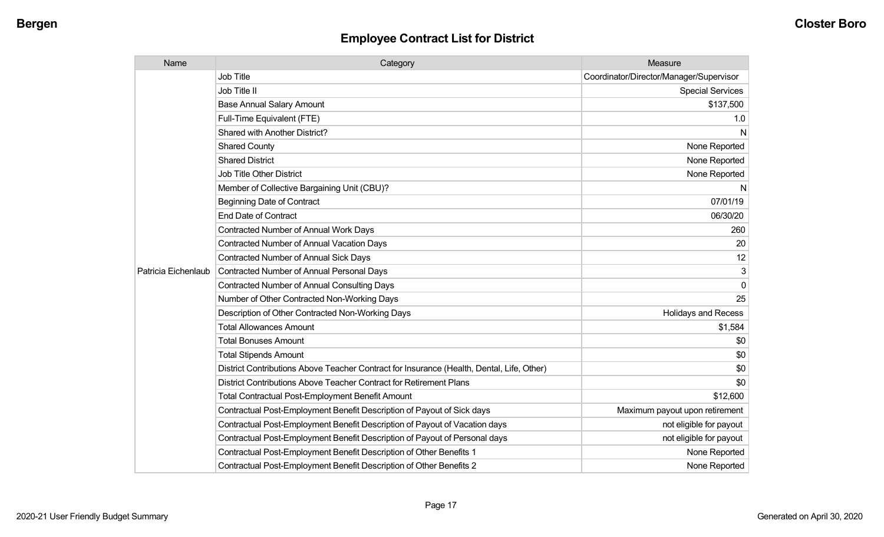| Name                | Category                                                                                  | Measure                                 |
|---------------------|-------------------------------------------------------------------------------------------|-----------------------------------------|
|                     | <b>Job Title</b>                                                                          | Coordinator/Director/Manager/Supervisor |
|                     | Job Title II                                                                              | <b>Special Services</b>                 |
|                     | <b>Base Annual Salary Amount</b>                                                          | \$137,500                               |
|                     | Full-Time Equivalent (FTE)                                                                | 1.0                                     |
|                     | Shared with Another District?                                                             | N                                       |
|                     | <b>Shared County</b>                                                                      | None Reported                           |
|                     | <b>Shared District</b>                                                                    | None Reported                           |
|                     | <b>Job Title Other District</b>                                                           | None Reported                           |
|                     | Member of Collective Bargaining Unit (CBU)?                                               | N                                       |
|                     | <b>Beginning Date of Contract</b>                                                         | 07/01/19                                |
|                     | <b>End Date of Contract</b>                                                               | 06/30/20                                |
|                     | <b>Contracted Number of Annual Work Days</b>                                              | 260                                     |
|                     | <b>Contracted Number of Annual Vacation Days</b>                                          | 20                                      |
|                     | <b>Contracted Number of Annual Sick Days</b>                                              | 12                                      |
| Patricia Eichenlaub | <b>Contracted Number of Annual Personal Days</b>                                          | 3                                       |
|                     | <b>Contracted Number of Annual Consulting Days</b>                                        | $\Omega$                                |
|                     | Number of Other Contracted Non-Working Days                                               | 25                                      |
|                     | Description of Other Contracted Non-Working Days                                          | <b>Holidays and Recess</b>              |
|                     | <b>Total Allowances Amount</b>                                                            | \$1,584                                 |
|                     | <b>Total Bonuses Amount</b>                                                               | \$0                                     |
|                     | <b>Total Stipends Amount</b>                                                              | \$0                                     |
|                     | District Contributions Above Teacher Contract for Insurance (Health, Dental, Life, Other) | \$0                                     |
|                     | District Contributions Above Teacher Contract for Retirement Plans                        | \$0                                     |
|                     | <b>Total Contractual Post-Employment Benefit Amount</b>                                   | \$12,600                                |
|                     | Contractual Post-Employment Benefit Description of Payout of Sick days                    | Maximum payout upon retirement          |
|                     | Contractual Post-Employment Benefit Description of Payout of Vacation days                | not eligible for payout                 |
|                     | Contractual Post-Employment Benefit Description of Payout of Personal days                | not eligible for payout                 |
|                     | Contractual Post-Employment Benefit Description of Other Benefits 1                       | None Reported                           |
|                     | Contractual Post-Employment Benefit Description of Other Benefits 2                       | None Reported                           |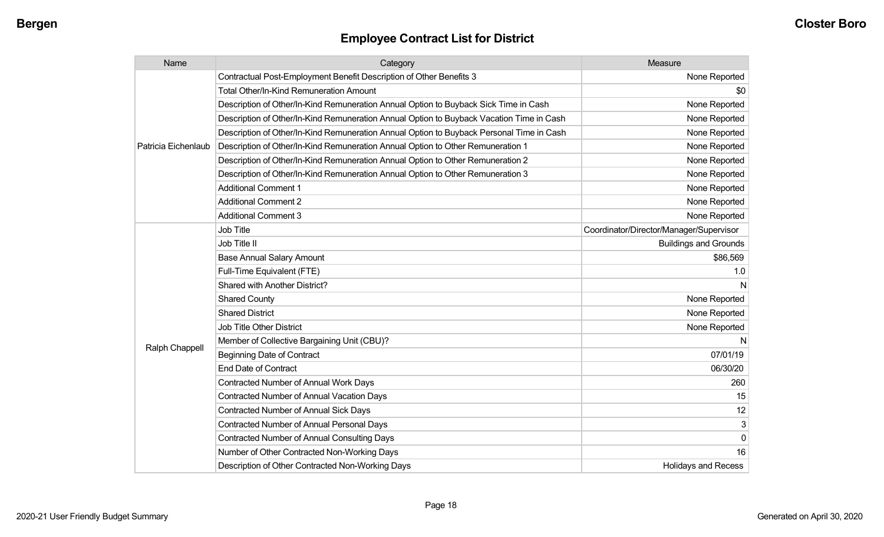| Name                | Category                                                                                 | Measure                                 |
|---------------------|------------------------------------------------------------------------------------------|-----------------------------------------|
|                     | Contractual Post-Employment Benefit Description of Other Benefits 3                      | None Reported                           |
|                     | <b>Total Other/In-Kind Remuneration Amount</b>                                           | \$0                                     |
|                     | Description of Other/In-Kind Remuneration Annual Option to Buyback Sick Time in Cash     | None Reported                           |
|                     | Description of Other/In-Kind Remuneration Annual Option to Buyback Vacation Time in Cash | None Reported                           |
|                     | Description of Other/In-Kind Remuneration Annual Option to Buyback Personal Time in Cash | None Reported                           |
| Patricia Eichenlaub | Description of Other/In-Kind Remuneration Annual Option to Other Remuneration 1          | None Reported                           |
|                     | Description of Other/In-Kind Remuneration Annual Option to Other Remuneration 2          | None Reported                           |
|                     | Description of Other/In-Kind Remuneration Annual Option to Other Remuneration 3          | None Reported                           |
|                     | <b>Additional Comment 1</b>                                                              | None Reported                           |
|                     | <b>Additional Comment 2</b>                                                              | None Reported                           |
|                     | <b>Additional Comment 3</b>                                                              | None Reported                           |
|                     | <b>Job Title</b>                                                                         | Coordinator/Director/Manager/Supervisor |
|                     | Job Title II                                                                             | <b>Buildings and Grounds</b>            |
|                     | <b>Base Annual Salary Amount</b>                                                         | \$86,569                                |
|                     | Full-Time Equivalent (FTE)                                                               | 1.0                                     |
|                     | Shared with Another District?                                                            | N                                       |
|                     | <b>Shared County</b>                                                                     | None Reported                           |
|                     | <b>Shared District</b>                                                                   | None Reported                           |
|                     | Job Title Other District                                                                 | None Reported                           |
|                     | Member of Collective Bargaining Unit (CBU)?                                              | N                                       |
| Ralph Chappell      | <b>Beginning Date of Contract</b>                                                        | 07/01/19                                |
|                     | <b>End Date of Contract</b>                                                              | 06/30/20                                |
|                     | Contracted Number of Annual Work Days                                                    | 260                                     |
|                     | <b>Contracted Number of Annual Vacation Days</b>                                         | 15                                      |
|                     | <b>Contracted Number of Annual Sick Days</b>                                             | 12                                      |
|                     | <b>Contracted Number of Annual Personal Days</b>                                         | 3 <sup>1</sup>                          |
|                     | <b>Contracted Number of Annual Consulting Days</b>                                       | $\overline{0}$                          |
|                     | Number of Other Contracted Non-Working Days                                              | 16                                      |
|                     | Description of Other Contracted Non-Working Days                                         | <b>Holidays and Recess</b>              |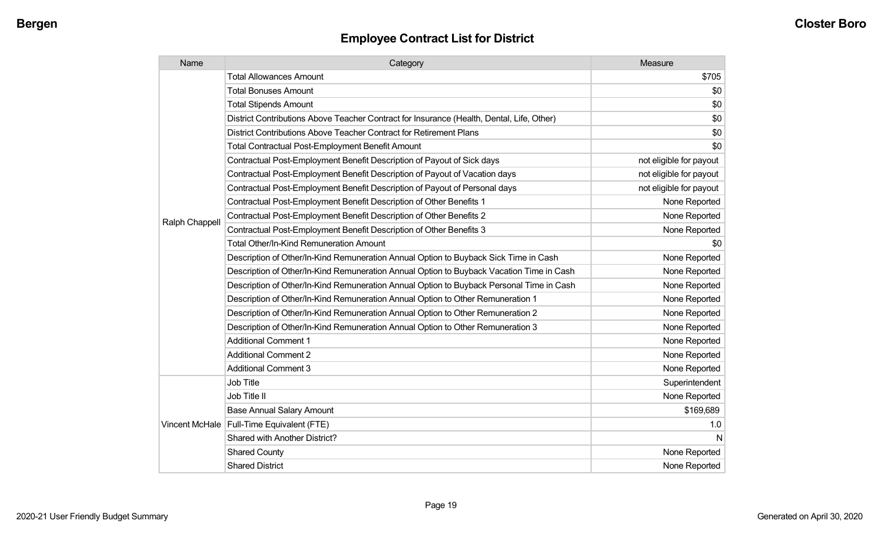| Name           | Category                                                                                  | Measure                 |
|----------------|-------------------------------------------------------------------------------------------|-------------------------|
|                | <b>Total Allowances Amount</b>                                                            | \$705                   |
|                | <b>Total Bonuses Amount</b>                                                               | \$0                     |
|                | <b>Total Stipends Amount</b>                                                              | \$0                     |
|                | District Contributions Above Teacher Contract for Insurance (Health, Dental, Life, Other) | \$0                     |
|                | District Contributions Above Teacher Contract for Retirement Plans                        | \$0                     |
|                | <b>Total Contractual Post-Employment Benefit Amount</b>                                   | \$0                     |
|                | Contractual Post-Employment Benefit Description of Payout of Sick days                    | not eligible for payout |
|                | Contractual Post-Employment Benefit Description of Payout of Vacation days                | not eligible for payout |
|                | Contractual Post-Employment Benefit Description of Payout of Personal days                | not eligible for payout |
|                | Contractual Post-Employment Benefit Description of Other Benefits 1                       | None Reported           |
|                | Contractual Post-Employment Benefit Description of Other Benefits 2                       | None Reported           |
| Ralph Chappell | Contractual Post-Employment Benefit Description of Other Benefits 3                       | None Reported           |
|                | <b>Total Other/In-Kind Remuneration Amount</b>                                            | \$0                     |
|                | Description of Other/In-Kind Remuneration Annual Option to Buyback Sick Time in Cash      | None Reported           |
|                | Description of Other/In-Kind Remuneration Annual Option to Buyback Vacation Time in Cash  | None Reported           |
|                | Description of Other/In-Kind Remuneration Annual Option to Buyback Personal Time in Cash  | None Reported           |
|                | Description of Other/In-Kind Remuneration Annual Option to Other Remuneration 1           | None Reported           |
|                | Description of Other/In-Kind Remuneration Annual Option to Other Remuneration 2           | None Reported           |
|                | Description of Other/In-Kind Remuneration Annual Option to Other Remuneration 3           | None Reported           |
|                | <b>Additional Comment 1</b>                                                               | None Reported           |
|                | <b>Additional Comment 2</b>                                                               | None Reported           |
|                | <b>Additional Comment 3</b>                                                               | None Reported           |
|                | Job Title                                                                                 | Superintendent          |
|                | Job Title II                                                                              | None Reported           |
|                | <b>Base Annual Salary Amount</b>                                                          | \$169,689               |
|                | Vincent McHale   Full-Time Equivalent (FTE)                                               | 1.0                     |
|                | Shared with Another District?                                                             | N                       |
|                | <b>Shared County</b>                                                                      | None Reported           |
|                | <b>Shared District</b>                                                                    | None Reported           |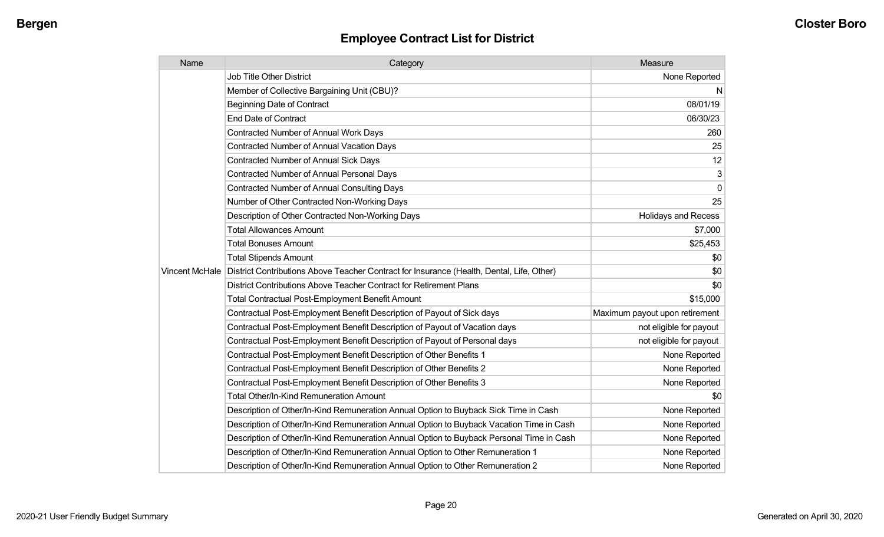| Name | Category                                                                                                   | Measure                        |
|------|------------------------------------------------------------------------------------------------------------|--------------------------------|
|      | <b>Job Title Other District</b>                                                                            | None Reported                  |
|      | Member of Collective Bargaining Unit (CBU)?                                                                | N,                             |
|      | <b>Beginning Date of Contract</b>                                                                          | 08/01/19                       |
|      | <b>End Date of Contract</b>                                                                                | 06/30/23                       |
|      | Contracted Number of Annual Work Days                                                                      | 260                            |
|      | <b>Contracted Number of Annual Vacation Days</b>                                                           | 25                             |
|      | <b>Contracted Number of Annual Sick Days</b>                                                               | 12                             |
|      | Contracted Number of Annual Personal Days                                                                  | 3                              |
|      | <b>Contracted Number of Annual Consulting Days</b>                                                         | 0                              |
|      | Number of Other Contracted Non-Working Days                                                                | 25                             |
|      | Description of Other Contracted Non-Working Days                                                           | <b>Holidays and Recess</b>     |
|      | <b>Total Allowances Amount</b>                                                                             | \$7,000                        |
|      | <b>Total Bonuses Amount</b>                                                                                | \$25,453                       |
|      | <b>Total Stipends Amount</b>                                                                               | \$0                            |
|      | Vincent McHale   District Contributions Above Teacher Contract for Insurance (Health, Dental, Life, Other) | \$0                            |
|      | District Contributions Above Teacher Contract for Retirement Plans                                         | \$0                            |
|      | Total Contractual Post-Employment Benefit Amount                                                           | \$15,000                       |
|      | Contractual Post-Employment Benefit Description of Payout of Sick days                                     | Maximum payout upon retirement |
|      | Contractual Post-Employment Benefit Description of Payout of Vacation days                                 | not eligible for payout        |
|      | Contractual Post-Employment Benefit Description of Payout of Personal days                                 | not eligible for payout        |
|      | Contractual Post-Employment Benefit Description of Other Benefits 1                                        | None Reported                  |
|      | Contractual Post-Employment Benefit Description of Other Benefits 2                                        | None Reported                  |
|      | Contractual Post-Employment Benefit Description of Other Benefits 3                                        | None Reported                  |
|      | <b>Total Other/In-Kind Remuneration Amount</b>                                                             | \$0                            |
|      | Description of Other/In-Kind Remuneration Annual Option to Buyback Sick Time in Cash                       | None Reported                  |
|      | Description of Other/In-Kind Remuneration Annual Option to Buyback Vacation Time in Cash                   | None Reported                  |
|      | Description of Other/In-Kind Remuneration Annual Option to Buyback Personal Time in Cash                   | None Reported                  |
|      | Description of Other/In-Kind Remuneration Annual Option to Other Remuneration 1                            | None Reported                  |
|      | Description of Other/In-Kind Remuneration Annual Option to Other Remuneration 2                            | None Reported                  |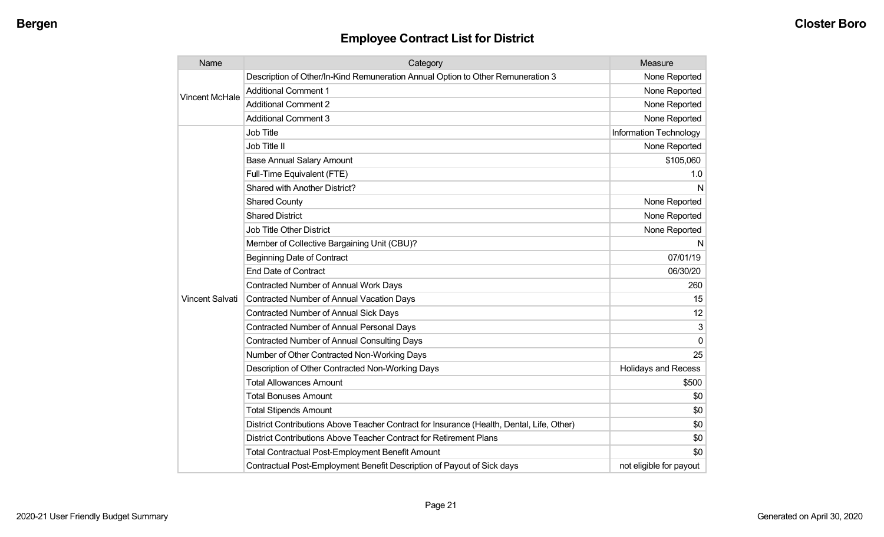| Name                   | Category                                                                                  | Measure                    |
|------------------------|-------------------------------------------------------------------------------------------|----------------------------|
|                        | Description of Other/In-Kind Remuneration Annual Option to Other Remuneration 3           | None Reported              |
| <b>Vincent McHale</b>  | <b>Additional Comment 1</b>                                                               | None Reported              |
|                        | <b>Additional Comment 2</b>                                                               | None Reported              |
|                        | <b>Additional Comment 3</b>                                                               | None Reported              |
|                        | Job Title                                                                                 | Information Technology     |
|                        | Job Title II                                                                              | None Reported              |
|                        | <b>Base Annual Salary Amount</b>                                                          | \$105,060                  |
|                        | Full-Time Equivalent (FTE)                                                                | 1.0                        |
|                        | Shared with Another District?                                                             | N                          |
|                        | <b>Shared County</b>                                                                      | None Reported              |
|                        | <b>Shared District</b>                                                                    | None Reported              |
|                        | Job Title Other District                                                                  | None Reported              |
|                        | Member of Collective Bargaining Unit (CBU)?                                               | N                          |
|                        | <b>Beginning Date of Contract</b>                                                         | 07/01/19                   |
|                        | <b>End Date of Contract</b>                                                               | 06/30/20                   |
|                        | Contracted Number of Annual Work Days                                                     | 260                        |
| <b>Vincent Salvati</b> | <b>Contracted Number of Annual Vacation Days</b>                                          | 15                         |
|                        | Contracted Number of Annual Sick Days                                                     | 12                         |
|                        | Contracted Number of Annual Personal Days                                                 | 3                          |
|                        | <b>Contracted Number of Annual Consulting Days</b>                                        | $\mathbf{0}$               |
|                        | Number of Other Contracted Non-Working Days                                               | 25                         |
|                        | Description of Other Contracted Non-Working Days                                          | <b>Holidays and Recess</b> |
|                        | <b>Total Allowances Amount</b>                                                            | \$500                      |
|                        | <b>Total Bonuses Amount</b>                                                               | \$0                        |
|                        | <b>Total Stipends Amount</b>                                                              | \$0                        |
|                        | District Contributions Above Teacher Contract for Insurance (Health, Dental, Life, Other) | \$0                        |
|                        | District Contributions Above Teacher Contract for Retirement Plans                        | \$0                        |
|                        | Total Contractual Post-Employment Benefit Amount                                          | \$0                        |
|                        | Contractual Post-Employment Benefit Description of Payout of Sick days                    | not eligible for payout    |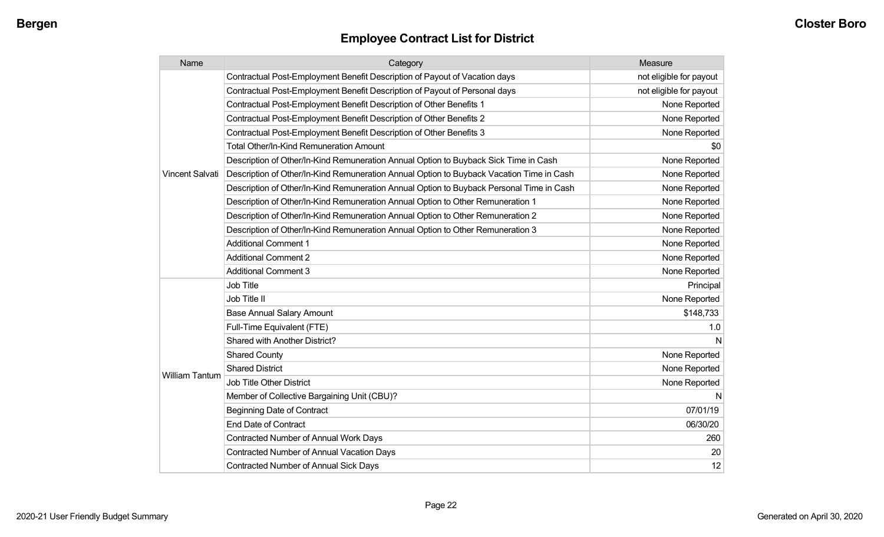| Name                  | Category                                                                                 | Measure                 |
|-----------------------|------------------------------------------------------------------------------------------|-------------------------|
|                       | Contractual Post-Employment Benefit Description of Payout of Vacation days               | not eligible for payout |
|                       | Contractual Post-Employment Benefit Description of Payout of Personal days               | not eligible for payout |
|                       | Contractual Post-Employment Benefit Description of Other Benefits 1                      | None Reported           |
|                       | Contractual Post-Employment Benefit Description of Other Benefits 2                      | None Reported           |
|                       | Contractual Post-Employment Benefit Description of Other Benefits 3                      | None Reported           |
|                       | Total Other/In-Kind Remuneration Amount                                                  | \$0                     |
|                       | Description of Other/In-Kind Remuneration Annual Option to Buyback Sick Time in Cash     | None Reported           |
| Vincent Salvati       | Description of Other/In-Kind Remuneration Annual Option to Buyback Vacation Time in Cash | None Reported           |
|                       | Description of Other/In-Kind Remuneration Annual Option to Buyback Personal Time in Cash | None Reported           |
|                       | Description of Other/In-Kind Remuneration Annual Option to Other Remuneration 1          | None Reported           |
|                       | Description of Other/In-Kind Remuneration Annual Option to Other Remuneration 2          | None Reported           |
|                       | Description of Other/In-Kind Remuneration Annual Option to Other Remuneration 3          | None Reported           |
|                       | <b>Additional Comment 1</b>                                                              | None Reported           |
|                       | <b>Additional Comment 2</b>                                                              | None Reported           |
|                       | <b>Additional Comment 3</b>                                                              | None Reported           |
|                       | <b>Job Title</b>                                                                         | Principal               |
|                       | Job Title II                                                                             | None Reported           |
|                       | <b>Base Annual Salary Amount</b>                                                         | \$148,733               |
|                       | Full-Time Equivalent (FTE)                                                               | 1.0                     |
|                       | Shared with Another District?                                                            | N                       |
|                       | <b>Shared County</b>                                                                     | None Reported           |
|                       | <b>Shared District</b>                                                                   | None Reported           |
| <b>William Tantum</b> | <b>Job Title Other District</b>                                                          | None Reported           |
|                       | Member of Collective Bargaining Unit (CBU)?                                              | N                       |
|                       | <b>Beginning Date of Contract</b>                                                        | 07/01/19                |
|                       | <b>End Date of Contract</b>                                                              | 06/30/20                |
|                       | Contracted Number of Annual Work Days                                                    | 260                     |
|                       | <b>Contracted Number of Annual Vacation Days</b>                                         | 20                      |
|                       | <b>Contracted Number of Annual Sick Days</b>                                             | 12                      |